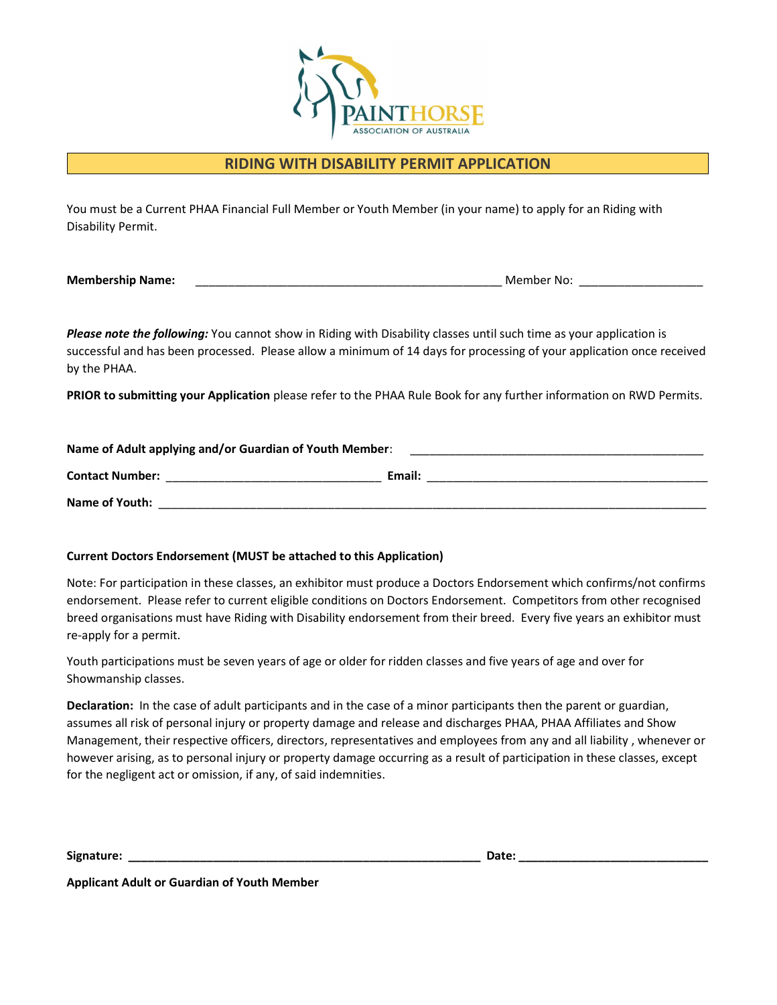

#### RIDING WITH DISABILITY PERMIT APPLICATION

You must be a Current PHAA Financial Full Member or Youth Member (in your name) to apply for an Riding with Disability Permit.

Membership Name: \_\_\_\_\_\_\_\_\_\_\_\_\_\_\_\_\_\_\_\_\_\_\_\_\_\_\_\_\_\_\_\_\_\_\_\_\_\_\_\_\_\_\_\_\_\_\_ Member No: \_\_\_\_\_\_\_\_\_\_\_\_\_\_\_\_\_\_\_

Please note the following: You cannot show in Riding with Disability classes until such time as your application is successful and has been processed. Please allow a minimum of 14 days for processing of your application once received by the PHAA.

PRIOR to submitting your Application please refer to the PHAA Rule Book for any further information on RWD Permits.

| Name of Adult applying and/or Guardian of Youth Member: |        |  |
|---------------------------------------------------------|--------|--|
| <b>Contact Number:</b>                                  | Email: |  |
| Name of Youth:                                          |        |  |

#### Current Doctors Endorsement (MUST be attached to this Application)

Note: For participation in these classes, an exhibitor must produce a Doctors Endorsement which confirms/not confirms endorsement. Please refer to current eligible conditions on Doctors Endorsement. Competitors from other recognised breed organisations must have Riding with Disability endorsement from their breed. Every five years an exhibitor must re-apply for a permit.

Youth participations must be seven years of age or older for ridden classes and five years of age and over for Showmanship classes.

Declaration: In the case of adult participants and in the case of a minor participants then the parent or guardian, assumes all risk of personal injury or property damage and release and discharges PHAA, PHAA Affiliates and Show Management, their respective officers, directors, representatives and employees from any and all liability , whenever or however arising, as to personal injury or property damage occurring as a result of participation in these classes, except for the negligent act or omission, if any, of said indemnities.

Signature: \_\_\_\_\_\_\_\_\_\_\_\_\_\_\_\_\_\_\_\_\_\_\_\_\_\_\_\_\_\_\_\_\_\_\_\_\_\_\_\_\_\_\_\_\_\_\_\_\_\_\_\_\_\_ Date: \_\_\_\_\_\_\_\_\_\_\_\_\_\_\_\_\_\_\_\_\_\_\_\_\_\_\_\_\_

Applicant Adult or Guardian of Youth Member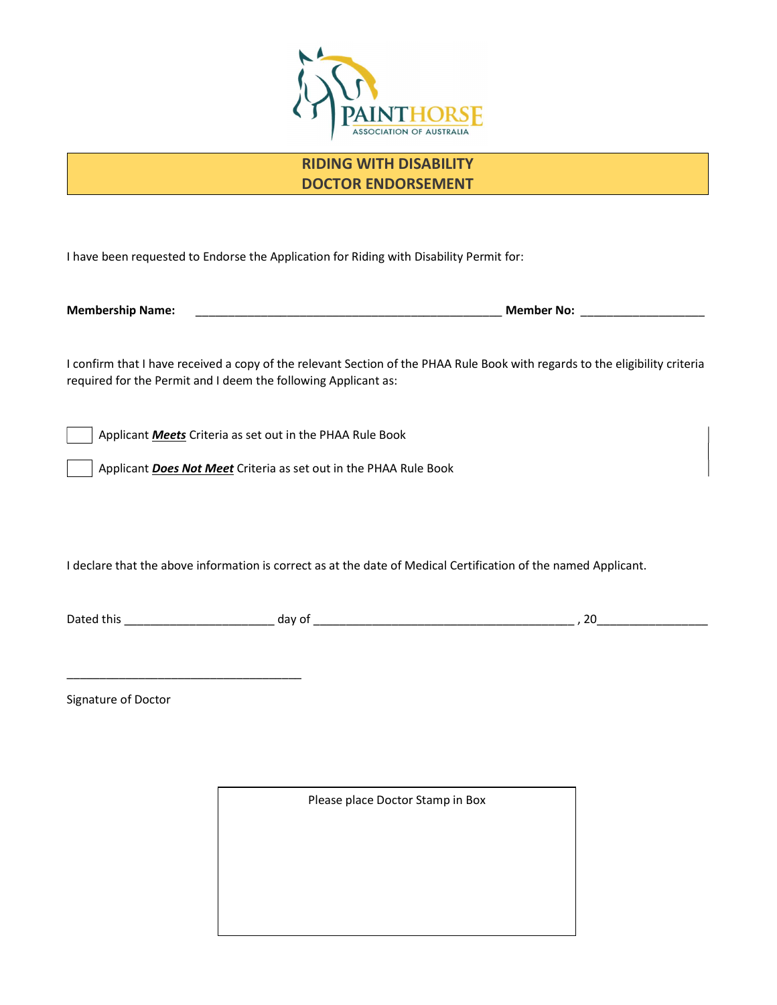

### RIDING WITH DISABILITY DOCTOR ENDORSEMENT

I have been requested to Endorse the Application for Riding with Disability Permit for:

Membership Name: \_\_\_\_\_\_\_\_\_\_\_\_\_\_\_\_\_\_\_\_\_\_\_\_\_\_\_\_\_\_\_\_\_\_\_\_\_\_\_\_\_\_\_\_\_\_\_ Member No: \_\_\_\_\_\_\_\_\_\_\_\_\_\_\_\_\_\_\_

I confirm that I have received a copy of the relevant Section of the PHAA Rule Book with regards to the eligibility criteria required for the Permit and I deem the following Applicant as:

Applicant **Meets** Criteria as set out in the PHAA Rule Book

Applicant Does Not Meet Criteria as set out in the PHAA Rule Book

I declare that the above information is correct as at the date of Medical Certification of the named Applicant.

Dated this \_\_\_\_\_\_\_\_\_\_\_\_\_\_\_\_\_\_\_\_\_\_\_ day of \_\_\_\_\_\_\_\_\_\_\_\_\_\_\_\_\_\_\_\_\_\_\_\_\_\_\_\_\_\_\_\_\_\_\_\_\_\_\_\_ , 20\_\_\_\_\_\_\_\_\_\_\_\_\_\_\_\_\_

Signature of Doctor

\_\_\_\_\_\_\_\_\_\_\_\_\_\_\_\_\_\_\_\_\_\_\_\_\_\_\_\_\_\_\_\_\_\_\_\_

Please place Doctor Stamp in Box